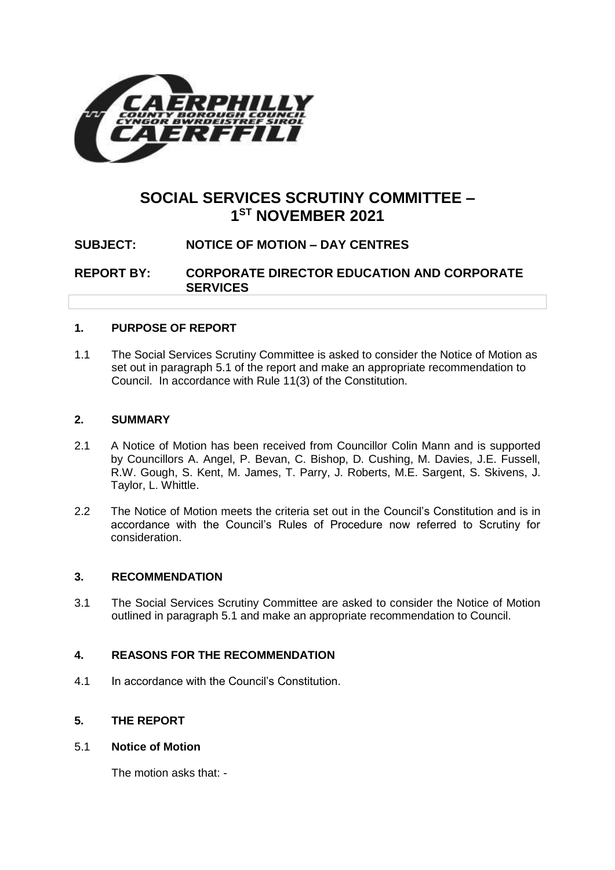

# **SOCIAL SERVICES SCRUTINY COMMITTEE – 1 ST NOVEMBER 2021**

# **SUBJECT: NOTICE OF MOTION – DAY CENTRES**

**REPORT BY: CORPORATE DIRECTOR EDUCATION AND CORPORATE SERVICES**

## **1. PURPOSE OF REPORT**

1.1 The Social Services Scrutiny Committee is asked to consider the Notice of Motion as set out in paragraph 5.1 of the report and make an appropriate recommendation to Council. In accordance with Rule 11(3) of the Constitution.

#### **2. SUMMARY**

- 2.1 A Notice of Motion has been received from Councillor Colin Mann and is supported by Councillors A. Angel, P. Bevan, C. Bishop, D. Cushing, M. Davies, J.E. Fussell, R.W. Gough, S. Kent, M. James, T. Parry, J. Roberts, M.E. Sargent, S. Skivens, J. Taylor, L. Whittle.
- 2.2 The Notice of Motion meets the criteria set out in the Council's Constitution and is in accordance with the Council's Rules of Procedure now referred to Scrutiny for consideration.

## **3. RECOMMENDATION**

3.1 The Social Services Scrutiny Committee are asked to consider the Notice of Motion outlined in paragraph 5.1 and make an appropriate recommendation to Council.

## **4. REASONS FOR THE RECOMMENDATION**

4.1 In accordance with the Council's Constitution.

## **5. THE REPORT**

## 5.1 **Notice of Motion**

The motion asks that: -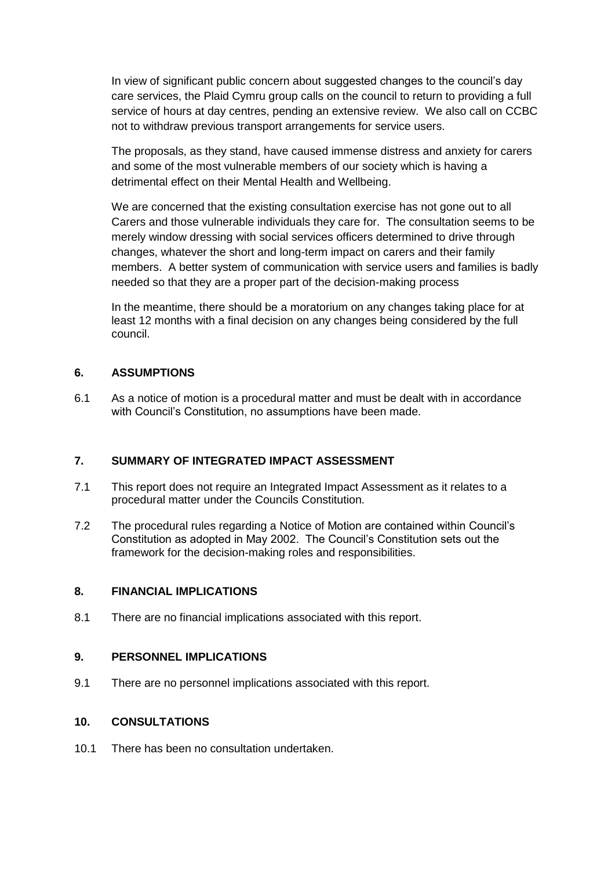In view of significant public concern about suggested changes to the council's day care services, the Plaid Cymru group calls on the council to return to providing a full service of hours at day centres, pending an extensive review. We also call on CCBC not to withdraw previous transport arrangements for service users.

The proposals, as they stand, have caused immense distress and anxiety for carers and some of the most vulnerable members of our society which is having a detrimental effect on their Mental Health and Wellbeing.

We are concerned that the existing consultation exercise has not gone out to all Carers and those vulnerable individuals they care for. The consultation seems to be merely window dressing with social services officers determined to drive through changes, whatever the short and long-term impact on carers and their family members. A better system of communication with service users and families is badly needed so that they are a proper part of the decision-making process

In the meantime, there should be a moratorium on any changes taking place for at least 12 months with a final decision on any changes being considered by the full council.

## **6. ASSUMPTIONS**

6.1 As a notice of motion is a procedural matter and must be dealt with in accordance with Council's Constitution, no assumptions have been made.

## **7. SUMMARY OF INTEGRATED IMPACT ASSESSMENT**

- 7.1 This report does not require an Integrated Impact Assessment as it relates to a procedural matter under the Councils Constitution.
- 7.2 The procedural rules regarding a Notice of Motion are contained within Council's Constitution as adopted in May 2002. The Council's Constitution sets out the framework for the decision-making roles and responsibilities.

#### **8. FINANCIAL IMPLICATIONS**

8.1 There are no financial implications associated with this report.

### **9. PERSONNEL IMPLICATIONS**

9.1 There are no personnel implications associated with this report.

#### **10. CONSULTATIONS**

10.1 There has been no consultation undertaken.